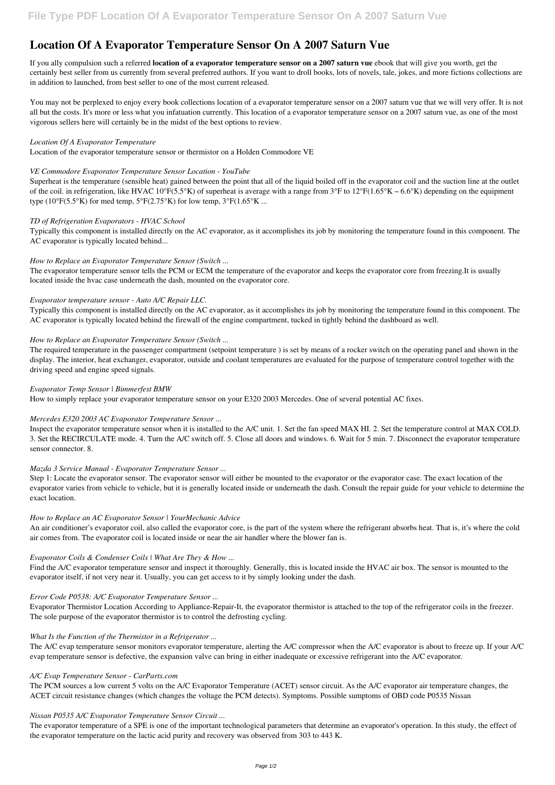# **Location Of A Evaporator Temperature Sensor On A 2007 Saturn Vue**

If you ally compulsion such a referred **location of a evaporator temperature sensor on a 2007 saturn vue** ebook that will give you worth, get the certainly best seller from us currently from several preferred authors. If you want to droll books, lots of novels, tale, jokes, and more fictions collections are in addition to launched, from best seller to one of the most current released.

Superheat is the temperature (sensible heat) gained between the point that all of the liquid boiled off in the evaporator coil and the suction line at the outlet of the coil. in refrigeration, like HVAC 10°F(5.5°K) of superheat is average with a range from 3°F to  $12^{\circ}F(1.65^{\circ}K - 6.6^{\circ}K)$  depending on the equipment type (10 $\rm{^{\circ}F(5.5^{\circ}K)}$  for med temp,  $\rm{5} \rm{^{\circ}F(2.75^{\circ}K)}$  for low temp,  $\rm{3} \rm{^{\circ}F(1.65^{\circ}K)}$  ...

You may not be perplexed to enjoy every book collections location of a evaporator temperature sensor on a 2007 saturn vue that we will very offer. It is not all but the costs. It's more or less what you infatuation currently. This location of a evaporator temperature sensor on a 2007 saturn vue, as one of the most vigorous sellers here will certainly be in the midst of the best options to review.

#### *Location Of A Evaporator Temperature*

Location of the evaporator temperature sensor or thermistor on a Holden Commodore VE

### *VE Commodore Evaporator Temperature Sensor Location - YouTube*

## *TD of Refrigeration Evaporators - HVAC School*

Typically this component is installed directly on the AC evaporator, as it accomplishes its job by monitoring the temperature found in this component. The AC evaporator is typically located behind...

## *How to Replace an Evaporator Temperature Sensor (Switch ...*

The evaporator temperature sensor tells the PCM or ECM the temperature of the evaporator and keeps the evaporator core from freezing.It is usually located inside the hvac case underneath the dash, mounted on the evaporator core.

## *Evaporator temperature sensor - Auto A/C Repair LLC.*

Find the A/C evaporator temperature sensor and inspect it thoroughly. Generally, this is located inside the HVAC air box. The sensor is mounted to the evaporator itself, if not very near it. Usually, you can get access to it by simply looking under the dash.

Typically this component is installed directly on the AC evaporator, as it accomplishes its job by monitoring the temperature found in this component. The AC evaporator is typically located behind the firewall of the engine compartment, tucked in tightly behind the dashboard as well.

### *How to Replace an Evaporator Temperature Sensor (Switch ...*

The required temperature in the passenger compartment (setpoint temperature ) is set by means of a rocker switch on the operating panel and shown in the display. The interior, heat exchanger, evaporator, outside and coolant temperatures are evaluated for the purpose of temperature control together with the driving speed and engine speed signals.

### *Evaporator Temp Sensor | Bimmerfest BMW*

How to simply replace your evaporator temperature sensor on your E320 2003 Mercedes. One of several potential AC fixes.

### *Mercedes E320 2003 AC Evaporator Temperature Sensor ...*

Inspect the evaporator temperature sensor when it is installed to the A/C unit. 1. Set the fan speed MAX HI. 2. Set the temperature control at MAX COLD. 3. Set the RECIRCULATE mode. 4. Turn the A/C switch off. 5. Close all doors and windows. 6. Wait for 5 min. 7. Disconnect the evaporator temperature sensor connector. 8.

### *Mazda 3 Service Manual - Evaporator Temperature Sensor ...*

Step 1: Locate the evaporator sensor. The evaporator sensor will either be mounted to the evaporator or the evaporator case. The exact location of the evaporator varies from vehicle to vehicle, but it is generally located inside or underneath the dash. Consult the repair guide for your vehicle to determine the exact location.

### *How to Replace an AC Evaporator Sensor | YourMechanic Advice*

An air conditioner's evaporator coil, also called the evaporator core, is the part of the system where the refrigerant absorbs heat. That is, it's where the cold air comes from. The evaporator coil is located inside or near the air handler where the blower fan is.

## *Evaporator Coils & Condenser Coils | What Are They & How ...*

#### *Error Code P0538: A/C Evaporator Temperature Sensor ...*

Evaporator Thermistor Location According to Appliance-Repair-It, the evaporator thermistor is attached to the top of the refrigerator coils in the freezer. The sole purpose of the evaporator thermistor is to control the defrosting cycling.

#### *What Is the Function of the Thermistor in a Refrigerator ...*

The A/C evap temperature sensor monitors evaporator temperature, alerting the A/C compressor when the A/C evaporator is about to freeze up. If your A/C evap temperature sensor is defective, the expansion valve can bring in either inadequate or excessive refrigerant into the A/C evaporator.

#### *A/C Evap Temperature Sensor - CarParts.com*

The PCM sources a low current 5 volts on the A/C Evaporator Temperature (ACET) sensor circuit. As the A/C evaporator air temperature changes, the ACET circuit resistance changes (which changes the voltage the PCM detects). Symptoms. Possible sumptoms of OBD code P0535 Nissan

#### *Nissan P0535 A/C Evaporator Temperature Sensor Circuit ...*

The evaporator temperature of a SPE is one of the important technological parameters that determine an evaporator's operation. In this study, the effect of the evaporator temperature on the lactic acid purity and recovery was observed from 303 to 443 K.